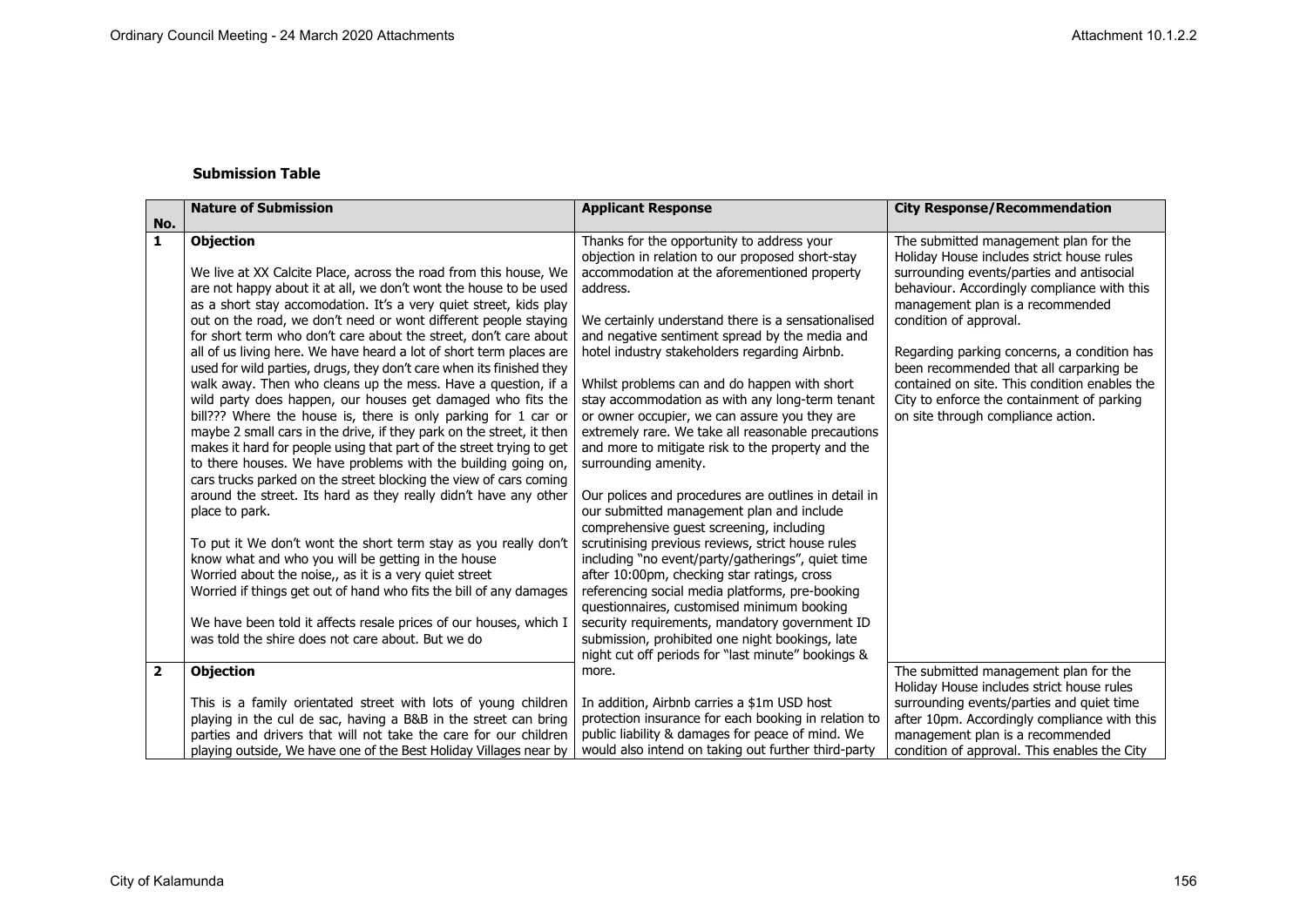## **Submission Table**

|                | <b>Nature of Submission</b>                                          | <b>Applicant Response</b>                                                                        | <b>City Response/Recommendation</b>                                                    |
|----------------|----------------------------------------------------------------------|--------------------------------------------------------------------------------------------------|----------------------------------------------------------------------------------------|
| No.            |                                                                      |                                                                                                  |                                                                                        |
| 1              | <b>Objection</b>                                                     | Thanks for the opportunity to address your                                                       | The submitted management plan for the                                                  |
|                | We live at XX Calcite Place, across the road from this house, We     | objection in relation to our proposed short-stay<br>accommodation at the aforementioned property | Holiday House includes strict house rules<br>surrounding events/parties and antisocial |
|                | are not happy about it at all, we don't wont the house to be used    | address.                                                                                         | behaviour. Accordingly compliance with this                                            |
|                | as a short stay accomodation. It's a very quiet street, kids play    |                                                                                                  | management plan is a recommended                                                       |
|                | out on the road, we don't need or wont different people staying      | We certainly understand there is a sensationalised                                               | condition of approval.                                                                 |
|                | for short term who don't care about the street, don't care about     | and negative sentiment spread by the media and                                                   |                                                                                        |
|                | all of us living here. We have heard a lot of short term places are  | hotel industry stakeholders regarding Airbnb.                                                    | Regarding parking concerns, a condition has                                            |
|                | used for wild parties, drugs, they don't care when its finished they |                                                                                                  | been recommended that all carparking be                                                |
|                | walk away. Then who cleans up the mess. Have a question, if a        | Whilst problems can and do happen with short                                                     | contained on site. This condition enables the                                          |
|                | wild party does happen, our houses get damaged who fits the          | stay accommodation as with any long-term tenant                                                  | City to enforce the containment of parking                                             |
|                | bill??? Where the house is, there is only parking for 1 car or       | or owner occupier, we can assure you they are                                                    | on site through compliance action.                                                     |
|                | maybe 2 small cars in the drive, if they park on the street, it then | extremely rare. We take all reasonable precautions                                               |                                                                                        |
|                | makes it hard for people using that part of the street trying to get | and more to mitigate risk to the property and the                                                |                                                                                        |
|                | to there houses. We have problems with the building going on,        | surrounding amenity.                                                                             |                                                                                        |
|                | cars trucks parked on the street blocking the view of cars coming    |                                                                                                  |                                                                                        |
|                | around the street. Its hard as they really didn't have any other     | Our polices and procedures are outlines in detail in                                             |                                                                                        |
|                | place to park.                                                       | our submitted management plan and include                                                        |                                                                                        |
|                |                                                                      | comprehensive guest screening, including                                                         |                                                                                        |
|                | To put it We don't wont the short term stay as you really don't      | scrutinising previous reviews, strict house rules                                                |                                                                                        |
|                | know what and who you will be getting in the house                   | including "no event/party/gatherings", quiet time                                                |                                                                                        |
|                | Worried about the noise,, as it is a very quiet street               | after 10:00pm, checking star ratings, cross                                                      |                                                                                        |
|                | Worried if things get out of hand who fits the bill of any damages   | referencing social media platforms, pre-booking                                                  |                                                                                        |
|                |                                                                      | questionnaires, customised minimum booking                                                       |                                                                                        |
|                | We have been told it affects resale prices of our houses, which I    | security requirements, mandatory government ID                                                   |                                                                                        |
|                | was told the shire does not care about. But we do                    | submission, prohibited one night bookings, late                                                  |                                                                                        |
|                |                                                                      | night cut off periods for "last minute" bookings &                                               |                                                                                        |
| $\overline{2}$ | <b>Objection</b>                                                     | more.                                                                                            | The submitted management plan for the                                                  |
|                | This is a family orientated street with lots of young children       | In addition, Airbnb carries a \$1m USD host                                                      | Holiday House includes strict house rules<br>surrounding events/parties and quiet time |
|                | playing in the cul de sac, having a B&B in the street can bring      | protection insurance for each booking in relation to                                             | after 10pm. Accordingly compliance with this                                           |
|                | parties and drivers that will not take the care for our children     | public liability & damages for peace of mind. We                                                 | management plan is a recommended                                                       |
|                | playing outside, We have one of the Best Holiday Villages near by    | would also intend on taking out further third-party                                              | condition of approval. This enables the City                                           |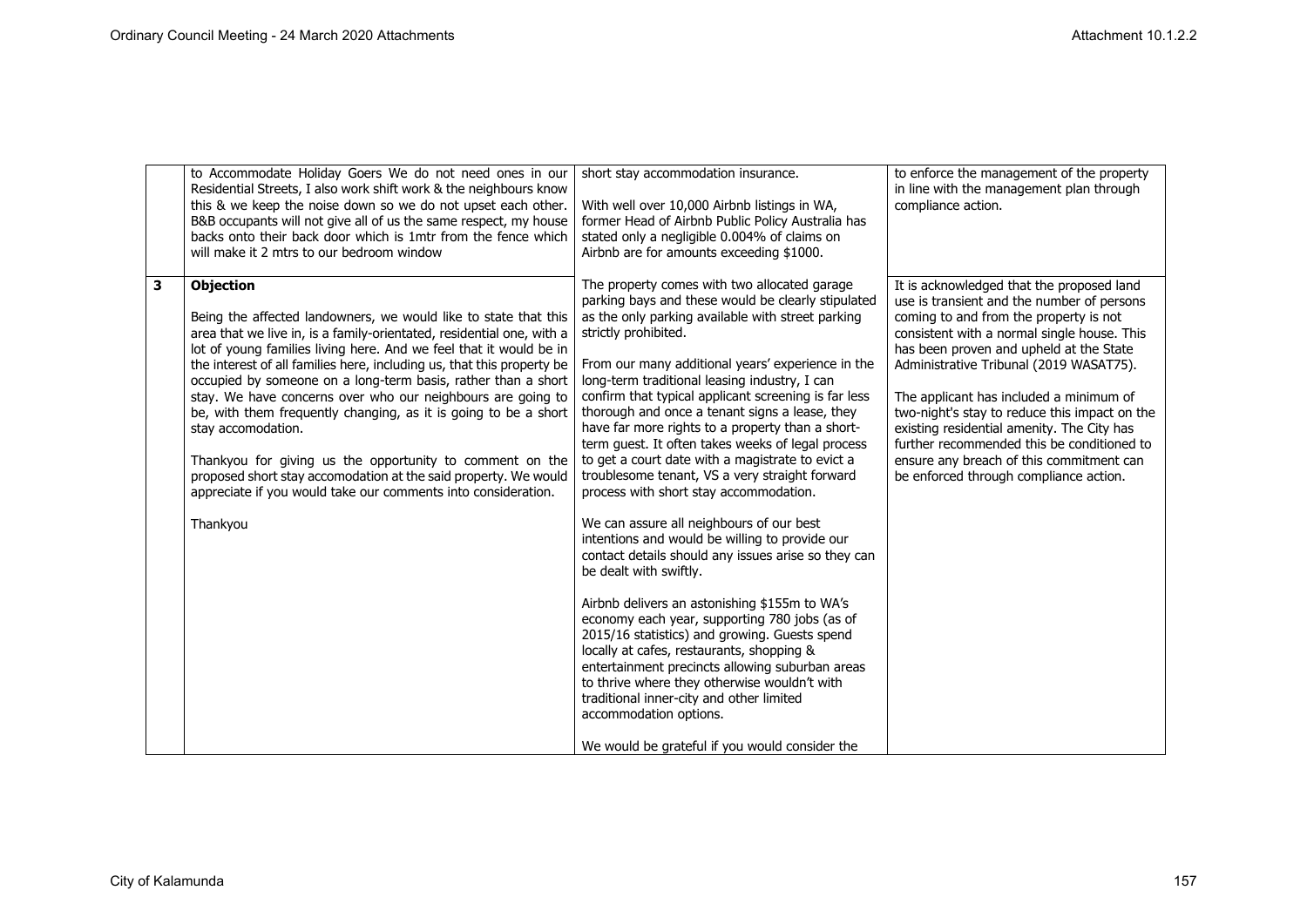|              | to Accommodate Holiday Goers We do not need ones in our<br>Residential Streets, I also work shift work & the neighbours know<br>this & we keep the noise down so we do not upset each other.<br>B&B occupants will not give all of us the same respect, my house<br>backs onto their back door which is 1mtr from the fence which<br>will make it 2 mtrs to our bedroom window                                                                                                                                                                                                                                                                                                                                                                    | short stay accommodation insurance.<br>With well over 10,000 Airbnb listings in WA,<br>former Head of Airbnb Public Policy Australia has<br>stated only a negligible 0.004% of claims on<br>Airbnb are for amounts exceeding \$1000.                                                                                                                                                                                                                                                                                                                                                                                                                                                                                                                                                                                                                                                                                                                                                                                                                                                                                                                                                                                                                               | to enforce the management of the property<br>in line with the management plan through<br>compliance action.                                                                                                                                                                                                                                                                                                                                                                                                                                          |
|--------------|---------------------------------------------------------------------------------------------------------------------------------------------------------------------------------------------------------------------------------------------------------------------------------------------------------------------------------------------------------------------------------------------------------------------------------------------------------------------------------------------------------------------------------------------------------------------------------------------------------------------------------------------------------------------------------------------------------------------------------------------------|--------------------------------------------------------------------------------------------------------------------------------------------------------------------------------------------------------------------------------------------------------------------------------------------------------------------------------------------------------------------------------------------------------------------------------------------------------------------------------------------------------------------------------------------------------------------------------------------------------------------------------------------------------------------------------------------------------------------------------------------------------------------------------------------------------------------------------------------------------------------------------------------------------------------------------------------------------------------------------------------------------------------------------------------------------------------------------------------------------------------------------------------------------------------------------------------------------------------------------------------------------------------|------------------------------------------------------------------------------------------------------------------------------------------------------------------------------------------------------------------------------------------------------------------------------------------------------------------------------------------------------------------------------------------------------------------------------------------------------------------------------------------------------------------------------------------------------|
| $\mathbf{3}$ | <b>Objection</b><br>Being the affected landowners, we would like to state that this<br>area that we live in, is a family-orientated, residential one, with a<br>lot of young families living here. And we feel that it would be in<br>the interest of all families here, including us, that this property be<br>occupied by someone on a long-term basis, rather than a short<br>stay. We have concerns over who our neighbours are going to<br>be, with them frequently changing, as it is going to be a short<br>stay accomodation.<br>Thankyou for giving us the opportunity to comment on the<br>proposed short stay accomodation at the said property. We would<br>appreciate if you would take our comments into consideration.<br>Thankyou | The property comes with two allocated garage<br>parking bays and these would be clearly stipulated<br>as the only parking available with street parking<br>strictly prohibited.<br>From our many additional years' experience in the<br>long-term traditional leasing industry, I can<br>confirm that typical applicant screening is far less<br>thorough and once a tenant signs a lease, they<br>have far more rights to a property than a short-<br>term guest. It often takes weeks of legal process<br>to get a court date with a magistrate to evict a<br>troublesome tenant, VS a very straight forward<br>process with short stay accommodation.<br>We can assure all neighbours of our best<br>intentions and would be willing to provide our<br>contact details should any issues arise so they can<br>be dealt with swiftly.<br>Airbnb delivers an astonishing \$155m to WA's<br>economy each year, supporting 780 jobs (as of<br>2015/16 statistics) and growing. Guests spend<br>locally at cafes, restaurants, shopping &<br>entertainment precincts allowing suburban areas<br>to thrive where they otherwise wouldn't with<br>traditional inner-city and other limited<br>accommodation options.<br>We would be grateful if you would consider the | It is acknowledged that the proposed land<br>use is transient and the number of persons<br>coming to and from the property is not<br>consistent with a normal single house. This<br>has been proven and upheld at the State<br>Administrative Tribunal (2019 WASAT75).<br>The applicant has included a minimum of<br>two-night's stay to reduce this impact on the<br>existing residential amenity. The City has<br>further recommended this be conditioned to<br>ensure any breach of this commitment can<br>be enforced through compliance action. |